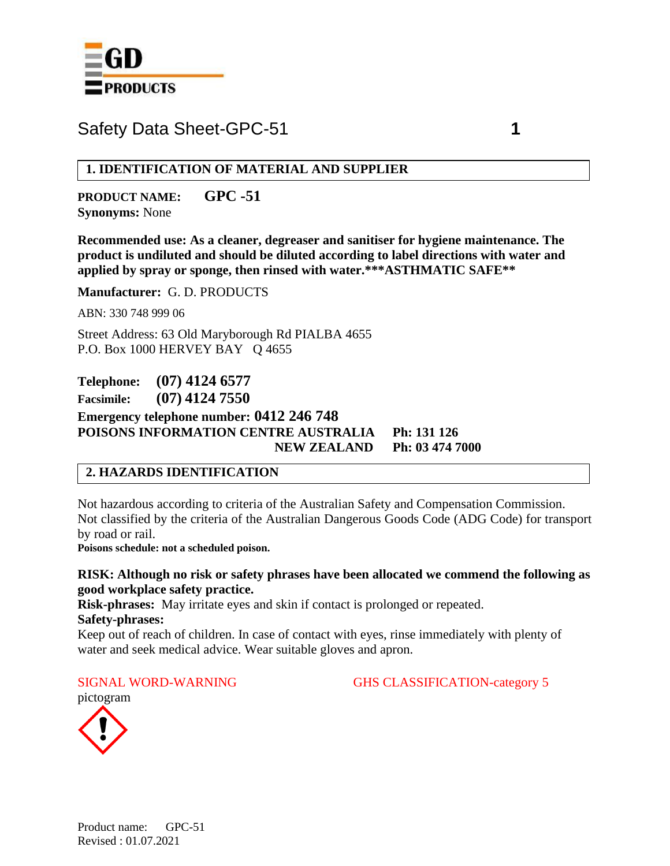

**1. IDENTIFICATION OF MATERIAL AND SUPPLIER**

**PRODUCT NAME: GPC -51 Synonyms:** None

**Recommended use: As a cleaner, degreaser and sanitiser for hygiene maintenance. The product is undiluted and should be diluted according to label directions with water and applied by spray or sponge, then rinsed with water.\*\*\*ASTHMATIC SAFE\*\***

**Manufacturer:** G. D. PRODUCTS

ABN: 330 748 999 06

Street Address: 63 Old Maryborough Rd PIALBA 4655 P.O. Box 1000 HERVEY BAY Q 4655

**Telephone: (07) 4124 6577 Facsimile: (07) 4124 7550 Emergency telephone number: 0412 246 748 POISONS INFORMATION CENTRE AUSTRALIA Ph: 131 126 NEW ZEALAND Ph: 03 474 7000**

# **2. HAZARDS IDENTIFICATION**

Not hazardous according to criteria of the Australian Safety and Compensation Commission. Not classified by the criteria of the Australian Dangerous Goods Code (ADG Code) for transport by road or rail.

**Poisons schedule: not a scheduled poison.**

**RISK: Although no risk or safety phrases have been allocated we commend the following as good workplace safety practice.**

**Risk-phrases:** May irritate eyes and skin if contact is prolonged or repeated.

#### **Safety-phrases:**

Keep out of reach of children. In case of contact with eyes, rinse immediately with plenty of water and seek medical advice. Wear suitable gloves and apron.

SIGNAL WORD-WARNING GHS CLASSIFICATION-category 5

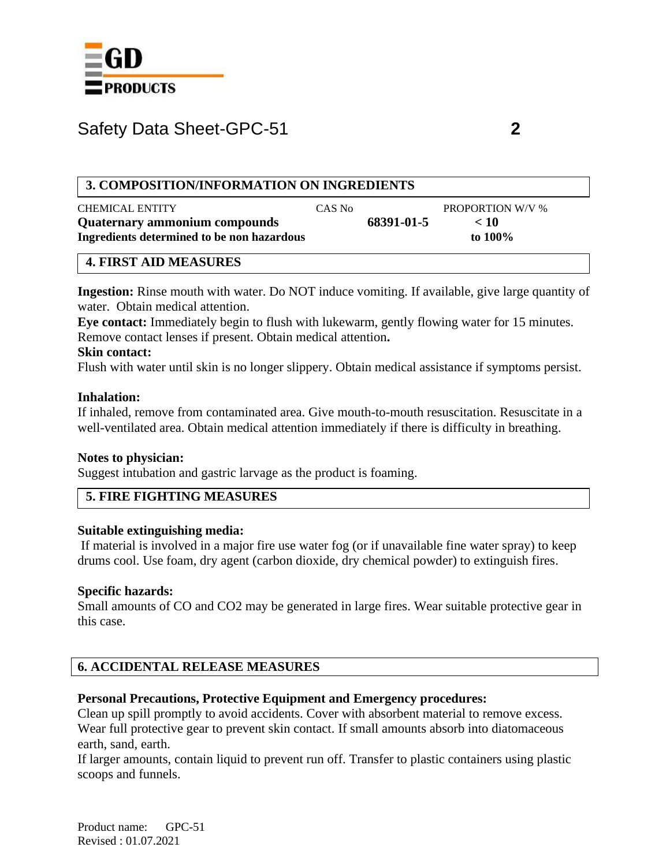

### **3. COMPOSITION/INFORMATION ON INGREDIENTS**

| <b>CHEMICAL ENTITY</b>                     | CAS No |            | <b>PROPORTION W/V %</b> |
|--------------------------------------------|--------|------------|-------------------------|
| Quaternary ammonium compounds              |        | 68391-01-5 | < 10                    |
| Ingredients determined to be non hazardous |        |            | to $100\%$              |
|                                            |        |            |                         |

#### **4. FIRST AID MEASURES**

**Ingestion:** Rinse mouth with water. Do NOT induce vomiting. If available, give large quantity of water. Obtain medical attention.

**Eye contact:** Immediately begin to flush with lukewarm, gently flowing water for 15 minutes. Remove contact lenses if present. Obtain medical attention**.**

#### **Skin contact:**

Flush with water until skin is no longer slippery. Obtain medical assistance if symptoms persist.

#### **Inhalation:**

If inhaled, remove from contaminated area. Give mouth-to-mouth resuscitation. Resuscitate in a well-ventilated area. Obtain medical attention immediately if there is difficulty in breathing.

#### **Notes to physician:**

Suggest intubation and gastric larvage as the product is foaming.

# **5. FIRE FIGHTING MEASURES**

#### **Suitable extinguishing media:**

If material is involved in a major fire use water fog (or if unavailable fine water spray) to keep drums cool. Use foam, dry agent (carbon dioxide, dry chemical powder) to extinguish fires.

#### **Specific hazards:**

Small amounts of CO and CO2 may be generated in large fires. Wear suitable protective gear in this case.

# **6. ACCIDENTAL RELEASE MEASURES**

#### **Personal Precautions, Protective Equipment and Emergency procedures:**

Clean up spill promptly to avoid accidents. Cover with absorbent material to remove excess. Wear full protective gear to prevent skin contact. If small amounts absorb into diatomaceous earth, sand, earth.

If larger amounts, contain liquid to prevent run off. Transfer to plastic containers using plastic scoops and funnels.

Product name: GPC-51 Revised : 01.07.2021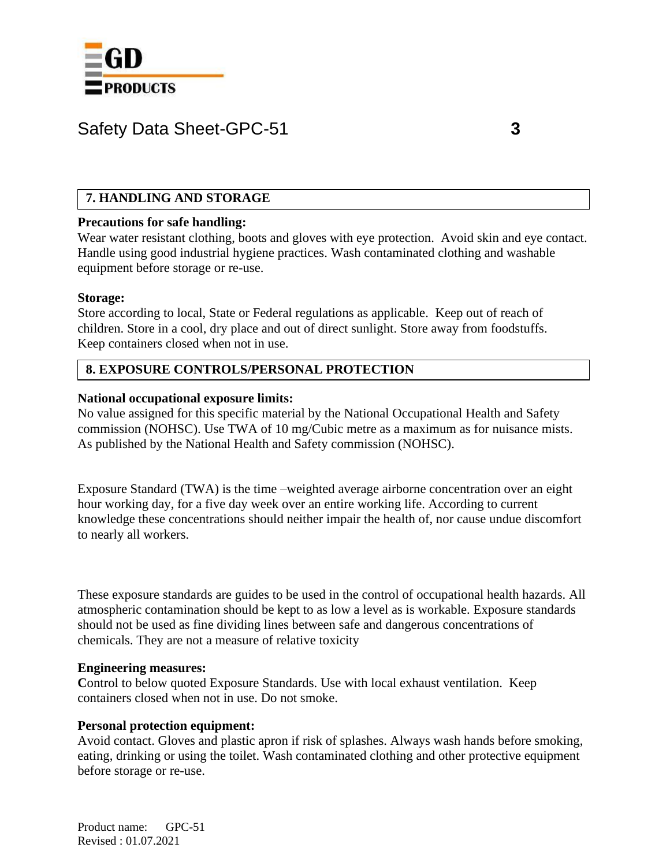

# **7. HANDLING AND STORAGE**

#### **Precautions for safe handling:**

Wear water resistant clothing, boots and gloves with eye protection. Avoid skin and eye contact. Handle using good industrial hygiene practices. Wash contaminated clothing and washable equipment before storage or re-use.

#### **Storage:**

Store according to local, State or Federal regulations as applicable. Keep out of reach of children. Store in a cool, dry place and out of direct sunlight. Store away from foodstuffs. Keep containers closed when not in use.

### **8. EXPOSURE CONTROLS/PERSONAL PROTECTION**

#### **National occupational exposure limits:**

No value assigned for this specific material by the National Occupational Health and Safety commission (NOHSC). Use TWA of 10 mg/Cubic metre as a maximum as for nuisance mists. As published by the National Health and Safety commission (NOHSC).

Exposure Standard (TWA) is the time –weighted average airborne concentration over an eight hour working day, for a five day week over an entire working life. According to current knowledge these concentrations should neither impair the health of, nor cause undue discomfort to nearly all workers.

These exposure standards are guides to be used in the control of occupational health hazards. All atmospheric contamination should be kept to as low a level as is workable. Exposure standards should not be used as fine dividing lines between safe and dangerous concentrations of chemicals. They are not a measure of relative toxicity

#### **Engineering measures:**

Control to below quoted Exposure Standards. Use with local exhaust ventilation. Keep containers closed when not in use. Do not smoke.

#### **Personal protection equipment:**

Avoid contact. Gloves and plastic apron if risk of splashes. Always wash hands before smoking, eating, drinking or using the toilet. Wash contaminated clothing and other protective equipment before storage or re-use.

Product name: GPC-51 Revised : 01.07.2021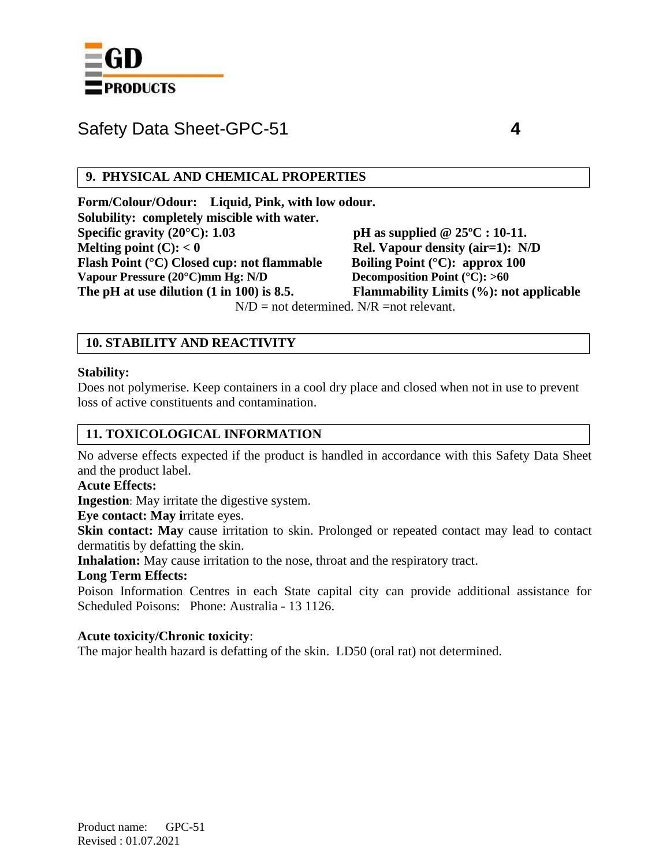

### **9. PHYSICAL AND CHEMICAL PROPERTIES**

**Form/Colour/Odour: Liquid, Pink, with low odour. Solubility: completely miscible with water. Specific gravity (20°C): 1.03 pH as supplied @ 25ºC : 10-11. Melting point (C):**  $< 0$  **Rel. Vapour density (air=1):** N/D **Flash Point (°C) Closed cup: not flammable Boiling Point (°C): approx 100 Vapour Pressure (20°C)mm Hg: N/D Decomposition Point (°C): >60 The pH at use dilution (1 in 100) is 8.5. Flammability Limits (%): not applicable**

 $N/D$  = not determined.  $N/R$  = not relevant.

# **10. STABILITY AND REACTIVITY**

#### **Stability:**

Does not polymerise. Keep containers in a cool dry place and closed when not in use to prevent loss of active constituents and contamination.

# **11. TOXICOLOGICAL INFORMATION**

No adverse effects expected if the product is handled in accordance with this Safety Data Sheet and the product label.

#### **Acute Effects:**

**Ingestion**: May irritate the digestive system.

**Eye contact: May i**rritate eyes.

**Skin contact: May** cause irritation to skin. Prolonged or repeated contact may lead to contact dermatitis by defatting the skin.

**Inhalation:** May cause irritation to the nose, throat and the respiratory tract.

#### **Long Term Effects:**

Poison Information Centres in each State capital city can provide additional assistance for Scheduled Poisons: Phone: Australia - 13 1126.

#### **Acute toxicity/Chronic toxicity**:

The major health hazard is defatting of the skin. LD50 (oral rat) not determined.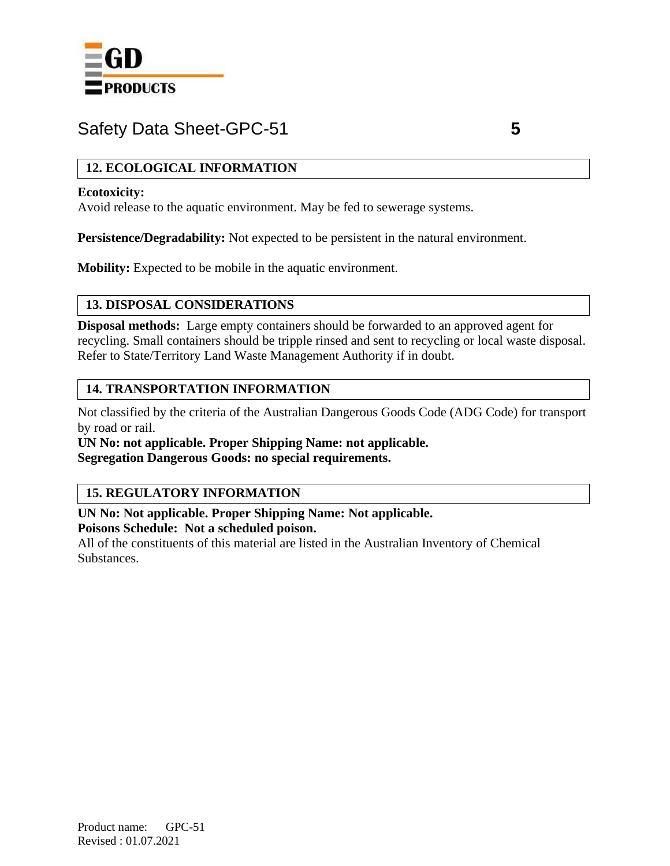

# **12. ECOLOGICAL INFORMATION**

### **Ecotoxicity:**

Avoid release to the aquatic environment. May be fed to sewerage systems.

**Persistence/Degradability:** Not expected to be persistent in the natural environment.

**Mobility:** Expected to be mobile in the aquatic environment.

# **13. DISPOSAL CONSIDERATIONS**

**Disposal methods:** Large empty containers should be forwarded to an approved agent for recycling. Small containers should be tripple rinsed and sent to recycling or local waste disposal. Refer to State/Territory Land Waste Management Authority if in doubt.

# **14. TRANSPORTATION INFORMATION**

Not classified by the criteria of the Australian Dangerous Goods Code (ADG Code) for transport by road or rail.

**UN No: not applicable. Proper Shipping Name: not applicable. Segregation Dangerous Goods: no special requirements.**

# **15. REGULATORY INFORMATION**

**UN No: Not applicable. Proper Shipping Name: Not applicable.**

**Poisons Schedule: Not a scheduled poison.**

All of the constituents of this material are listed in the Australian Inventory of Chemical Substances.